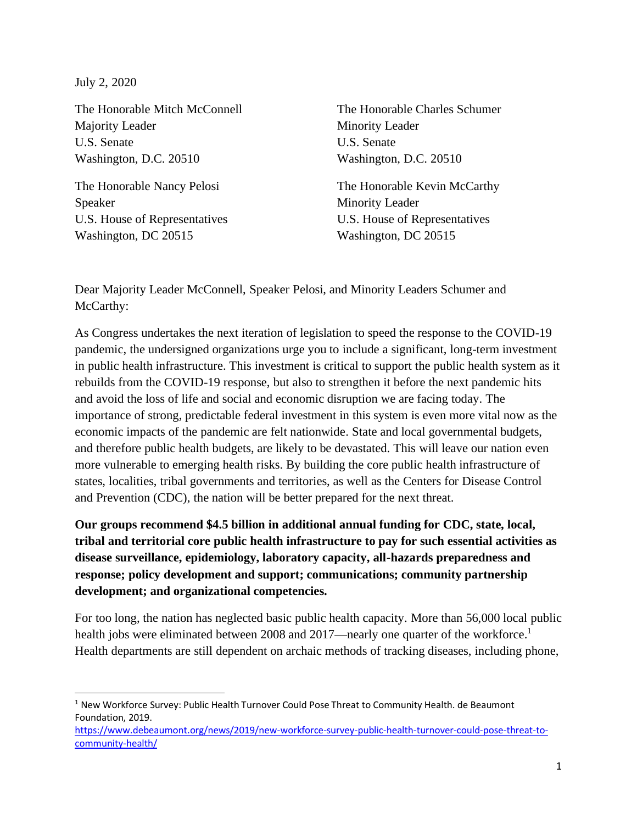July 2, 2020

The Honorable Mitch McConnell Majority Leader U.S. Senate Washington, D.C. 20510

The Honorable Nancy Pelosi Speaker U.S. House of Representatives Washington, DC 20515

The Honorable Charles Schumer Minority Leader U.S. Senate Washington, D.C. 20510

The Honorable Kevin McCarthy Minority Leader U.S. House of Representatives Washington, DC 20515

Dear Majority Leader McConnell, Speaker Pelosi, and Minority Leaders Schumer and McCarthy:

As Congress undertakes the next iteration of legislation to speed the response to the COVID-19 pandemic, the undersigned organizations urge you to include a significant, long-term investment in public health infrastructure. This investment is critical to support the public health system as it rebuilds from the COVID-19 response, but also to strengthen it before the next pandemic hits and avoid the loss of life and social and economic disruption we are facing today. The importance of strong, predictable federal investment in this system is even more vital now as the economic impacts of the pandemic are felt nationwide. State and local governmental budgets, and therefore public health budgets, are likely to be devastated. This will leave our nation even more vulnerable to emerging health risks. By building the core public health infrastructure of states, localities, tribal governments and territories, as well as the Centers for Disease Control and Prevention (CDC), the nation will be better prepared for the next threat.

**Our groups recommend \$4.5 billion in additional annual funding for CDC, state, local, tribal and territorial core public health infrastructure to pay for such essential activities as disease surveillance, epidemiology, laboratory capacity, all-hazards preparedness and response; policy development and support; communications; community partnership development; and organizational competencies.**

For too long, the nation has neglected basic public health capacity. More than 56,000 local public health jobs were eliminated between 2008 and 2017—nearly one quarter of the workforce.<sup>1</sup> Health departments are still dependent on archaic methods of tracking diseases, including phone,

<sup>&</sup>lt;sup>1</sup> New Workforce Survey: Public Health Turnover Could Pose Threat to Community Health. de Beaumont Foundation, 2019.

[https://www.debeaumont.org/news/2019/new-workforce-survey-public-health-turnover-could-pose-threat-to](https://www.debeaumont.org/news/2019/new-workforce-survey-public-health-turnover-could-pose-threat-to-community-health/)[community-health/](https://www.debeaumont.org/news/2019/new-workforce-survey-public-health-turnover-could-pose-threat-to-community-health/)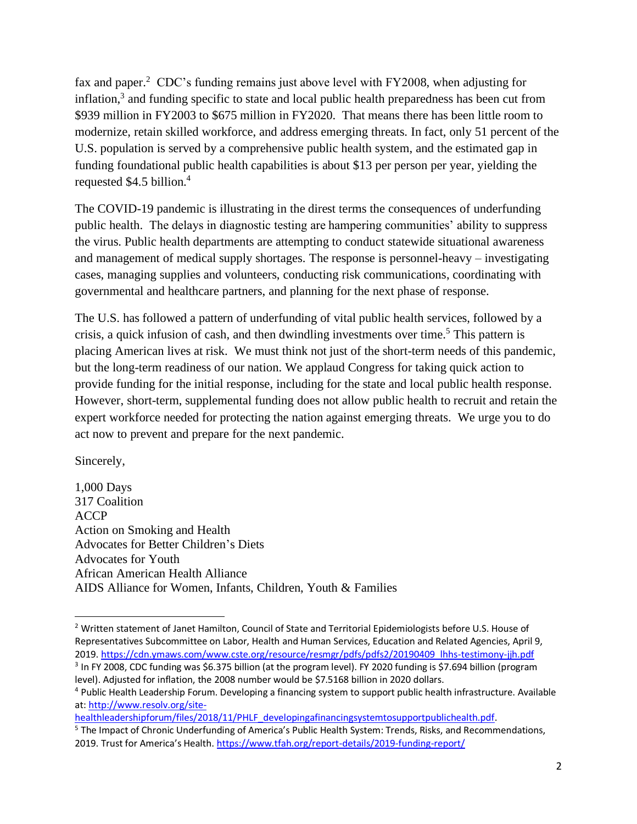fax and paper.<sup>2</sup> CDC's funding remains just above level with FY2008, when adjusting for inflation,<sup>3</sup> and funding specific to state and local public health preparedness has been cut from \$939 million in FY2003 to \$675 million in FY2020. That means there has been little room to modernize, retain skilled workforce, and address emerging threats. In fact, only 51 percent of the U.S. population is served by a comprehensive public health system, and the estimated gap in funding foundational public health capabilities is about \$13 per person per year, yielding the requested \$4.5 billion. 4

The COVID-19 pandemic is illustrating in the direst terms the consequences of underfunding public health. The delays in diagnostic testing are hampering communities' ability to suppress the virus. Public health departments are attempting to conduct statewide situational awareness and management of medical supply shortages. The response is personnel-heavy – investigating cases, managing supplies and volunteers, conducting risk communications, coordinating with governmental and healthcare partners, and planning for the next phase of response.

The U.S. has followed a pattern of underfunding of vital public health services, followed by a crisis, a quick infusion of cash, and then dwindling investments over time.<sup>5</sup> This pattern is placing American lives at risk. We must think not just of the short-term needs of this pandemic, but the long-term readiness of our nation. We applaud Congress for taking quick action to provide funding for the initial response, including for the state and local public health response. However, short-term, supplemental funding does not allow public health to recruit and retain the expert workforce needed for protecting the nation against emerging threats. We urge you to do act now to prevent and prepare for the next pandemic.

Sincerely,

1,000 Days 317 Coalition ACCP Action on Smoking and Health Advocates for Better Children's Diets Advocates for Youth African American Health Alliance AIDS Alliance for Women, Infants, Children, Youth & Families

<sup>&</sup>lt;sup>2</sup> Written statement of Janet Hamilton, Council of State and Territorial Epidemiologists before U.S. House of Representatives Subcommittee on Labor, Health and Human Services, Education and Related Agencies, April 9, 2019. [https://cdn.ymaws.com/www.cste.org/resource/resmgr/pdfs/pdfs2/20190409\\_lhhs-testimony-jjh.pdf](https://cdn.ymaws.com/www.cste.org/resource/resmgr/pdfs/pdfs2/20190409_lhhs-testimony-jjh.pdf)

<sup>&</sup>lt;sup>3</sup> In FY 2008, CDC funding was \$6.375 billion (at the program level). FY 2020 funding is \$7.694 billion (program level). Adjusted for inflation, the 2008 number would be \$7.5168 billion in 2020 dollars.

<sup>4</sup> Public Health Leadership Forum. Developing a financing system to support public health infrastructure. Available at: [http://www.resolv.org/site-](http://www.resolv.org/site-healthleadershipforum/files/2018/11/PHLF_developingafinancingsystemtosupportpublichealth.pdf)

[healthleadershipforum/files/2018/11/PHLF\\_developingafinancingsystemtosupportpublichealth.pdf.](http://www.resolv.org/site-healthleadershipforum/files/2018/11/PHLF_developingafinancingsystemtosupportpublichealth.pdf)

<sup>&</sup>lt;sup>5</sup> The Impact of Chronic Underfunding of America's Public Health System: Trends, Risks, and Recommendations, 2019. Trust for America's Health. <https://www.tfah.org/report-details/2019-funding-report/>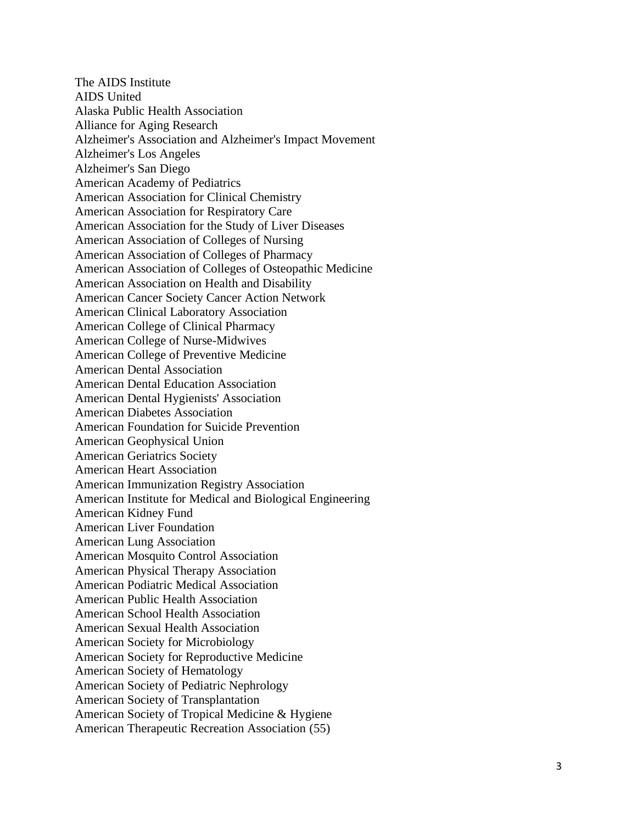The AIDS Institute AIDS United Alaska Public Health Association Alliance for Aging Research Alzheimer's Association and Alzheimer's Impact Movement Alzheimer's Los Angeles Alzheimer's San Diego American Academy of Pediatrics American Association for Clinical Chemistry American Association for Respiratory Care American Association for the Study of Liver Diseases American Association of Colleges of Nursing American Association of Colleges of Pharmacy American Association of Colleges of Osteopathic Medicine American Association on Health and Disability American Cancer Society Cancer Action Network American Clinical Laboratory Association American College of Clinical Pharmacy American College of Nurse -Midwives American College of Preventive Medicine American Dental Association American Dental Education Association American Dental Hygienists' Association American Diabetes Association American Foundation for Suicide Prevention American Geophysical Union American Geriatrics Society American Heart Association American Immunization Registry Association American Institute for Medical and Biological Engineering American Kidney Fund American Liver Foundation American Lung Association American Mosquito Control Association American Physical Therapy Association American Podiatric Medical Association American Public Health Association American School Health Association American Sexual Health Association American Society for Microbiology American Society for Reproductive Medicine American Society of Hematology American Society of Pediatric Nephrology American Society of Transplantation American Society of Tropical Medicine & Hygiene American Therapeutic Recreation Association (55)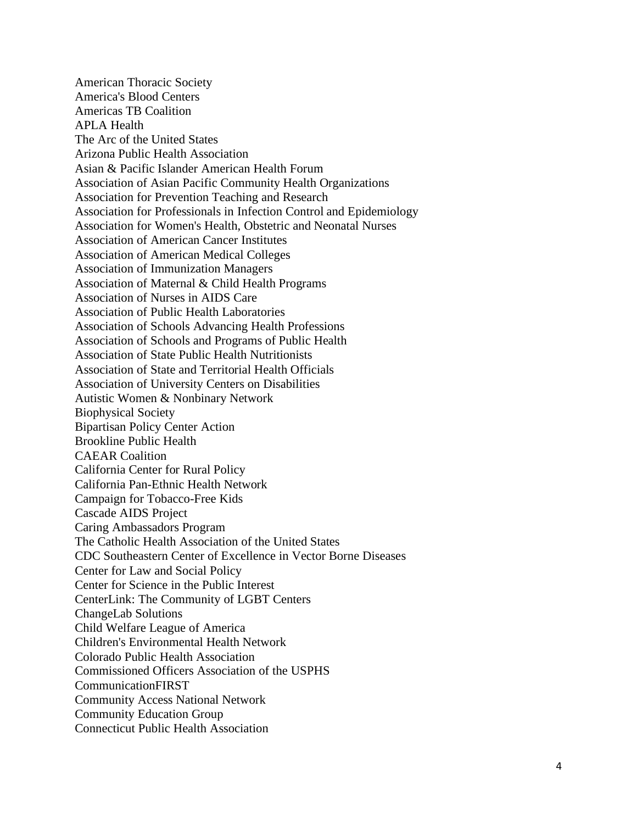American Thoracic Society America's Blood Centers Americas TB Coalition APLA Health The Arc of the United States Arizona Public Health Association Asian & Pacific Islander American Health Forum Association of Asian Pacific Community Health Organizations Association for Prevention Teaching and Research Association for Professionals in Infection Control and Epidemiology Association for Women's Health, Obstetric and Neonatal Nurses Association of American Cancer Institutes Association of American Medical Colleges Association of Immunization Managers Association of Maternal & Child Health Programs Association of Nurses in AIDS Care Association of Public Health Laboratories Association of Schools Advancing Health Professions Association of Schools and Programs of Public Health Association of State Public Health Nutritionists Association of State and Territorial Health Officials Association of University Centers on Disabilities Autistic Women & Nonbinary Network Biophysical Society Bipartisan Policy Center Action Brookline Public Health CAEAR Coalition California Center for Rural Policy California Pan-Ethnic Health Network Campaign for Tobacco-Free Kids Cascade AIDS Project Caring Ambassadors Program The Catholic Health Association of the United States CDC Southeastern Center of Excellence in Vector Borne Diseases Center for Law and Social Policy Center for Science in the Public Interest CenterLink: The Community of LGBT Centers ChangeLab Solutions Child Welfare League of America Children's Environmental Health Network Colorado Public Health Association Commissioned Officers Association of the USPHS CommunicationFIRST Community Access National Network Community Education Group Connecticut Public Health Association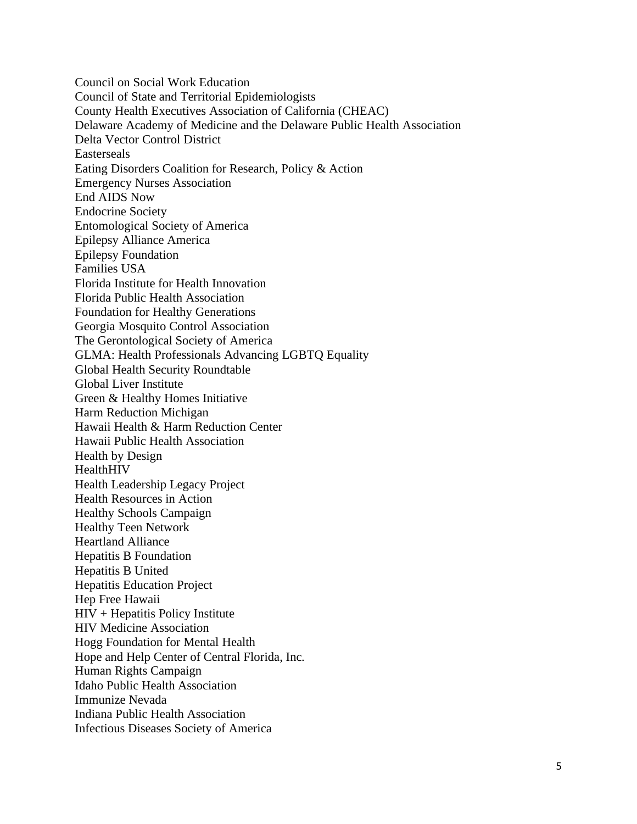Council on Social Work Education Council of State and Territorial Epidemiologists County Health Executives Association of California (CHEAC) Delaware Academy of Medicine and the Delaware Public Health Association Delta Vector Control District Easterseals Eating Disorders Coalition for Research, Policy & Action Emergency Nurses Association End AIDS Now Endocrine Society Entomological Society of America Epilepsy Alliance America Epilepsy Foundation Families USA Florida Institute for Health Innovation Florida Public Health Association Foundation for Healthy Generations Georgia Mosquito Control Association The Gerontological Society of America GLMA: Health Professionals Advancing LGBTQ Equality Global Health Security Roundtable Global Liver Institute Green & Healthy Homes Initiative Harm Reduction Michigan Hawaii Health & Harm Reduction Center Hawaii Public Health Association Health by Design HealthHIV Health Leadership Legacy Project Health Resources in Action Healthy Schools Campaign Healthy Teen Network Heartland Alliance Hepatitis B Foundation Hepatitis B United Hepatitis Education Project Hep Free Hawaii HIV + Hepatitis Policy Institute HIV Medicine Association Hogg Foundation for Mental Health Hope and Help Center of Central Florida, Inc. Human Rights Campaign Idaho Public Health Association Immunize Nevada Indiana Public Health Association Infectious Diseases Society of America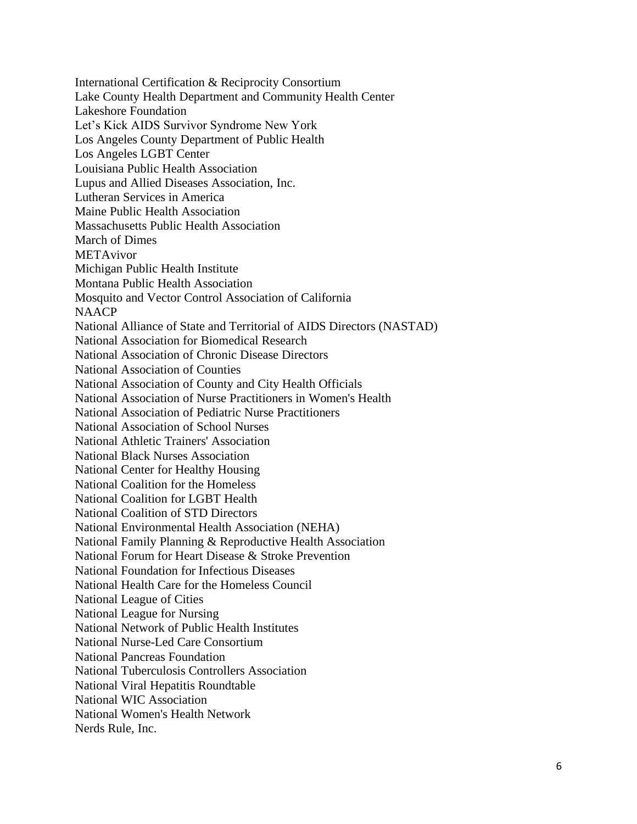International Certification & Reciprocity Consortium Lake County Health Department and Community Health Center Lakeshore Foundation Let's Kick AIDS Survivor Syndrome New York Los Angeles County Department of Public Health Los Angeles LGBT Center Louisiana Public Health Association Lupus and Allied Diseases Association, Inc. Lutheran Services in America Maine Public Health Association Massachusetts Public Health Association March of Dimes METAvivor Michigan Public Health Institute Montana Public Health Association Mosquito and Vector Control Association of California **NAACP** National Alliance of State and Territorial of AIDS Directors (NASTAD) National Association for Biomedical Research National Association of Chronic Disease Directors National Association of Counties National Association of County and City Health Officials National Association of Nurse Practitioners in Women's Health National Association of Pediatric Nurse Practitioners National Association of School Nurses National Athletic Trainers' Association National Black Nurses Association National Center for Healthy Housing National Coalition for the Homeless National Coalition for LGBT Health National Coalition of STD Directors National Environmental Health Association (NEHA) National Family Planning & Reproductive Health Association National Forum for Heart Disease & Stroke Prevention National Foundation for Infectious Diseases National Health Care for the Homeless Council National League of Cities National League for Nursing National Network of Public Health Institutes National Nurse-Led Care Consortium National Pancreas Foundation National Tuberculosis Controllers Association National Viral Hepatitis Roundtable National WIC Association National Women's Health Network Nerds Rule, Inc.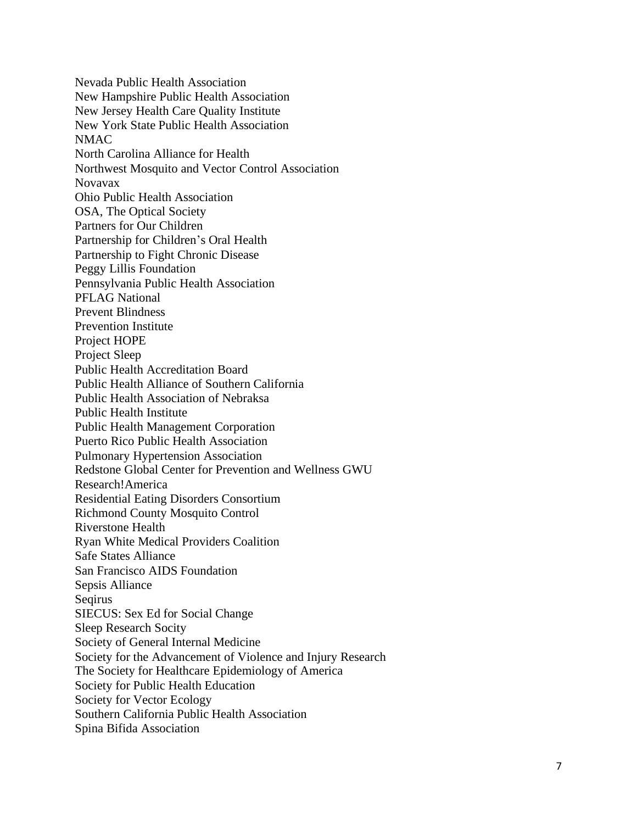Nevada Public Health Association New Hampshire Public Health Association New Jersey Health Care Quality Institute New York State Public Health Association NMAC North Carolina Alliance for Health Northwest Mosquito and Vector Control Association Novavax Ohio P ublic Health Association OSA, The Optical Society Partners for Our Children Partnership for Children 's Oral Health Partnership to Fight Chronic Disease Peggy Lillis Foundation Pennsylvania Public Health Association PFLAG National Prevent Blindness Prevention Institute Project HOPE Project Sleep Public Health Accreditation Board Public Health Alliance of Southern California Public Health Association of Nebraksa Public Health Institute Public Health Management Corporation Puerto Rico Public Health Association Pulmonary Hypertension Association Redstone Global Center for Prevention and Wellness GWU Research!America Residential Eating Disorders Consortium Richmond County Mosquito Control Riverstone Health Ryan White Medical Providers Coalition Safe States Alliance San Francisco AIDS Foundation Sepsis Alliance Seqirus SIECUS: Sex Ed for Social Change Sleep Research Socity Society of General Internal Medicine Society for the Advancement of Violence and Injury Research The Society for Healthcare Epidemiology of America Society for Public Health Education Society for Vector Ecology Southern California Public Health Association Spina Bifida Association